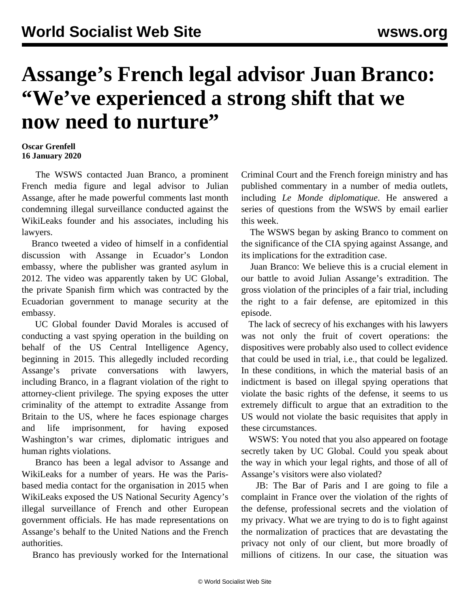## **Assange's French legal advisor Juan Branco: "We've experienced a strong shift that we now need to nurture"**

## **Oscar Grenfell 16 January 2020**

 The WSWS contacted Juan Branco, a prominent French media figure and legal advisor to Julian Assange, after he made powerful comments last month condemning illegal surveillance conducted against the WikiLeaks founder and his associates, including his lawyers.

 Branco tweeted a video of himself in a confidential discussion with Assange in Ecuador's London embassy, where the publisher was granted asylum in 2012. The video was apparently taken by UC Global, the private Spanish firm which was contracted by the Ecuadorian government to manage security at the embassy.

 UC Global founder David Morales is accused of conducting a vast spying operation in the building on behalf of the US Central Intelligence Agency, beginning in 2015. This allegedly included recording Assange's private conversations with lawyers, including Branco, in a flagrant violation of the right to attorney-client privilege. The spying exposes the utter criminality of the attempt to extradite Assange from Britain to the US, where he faces espionage charges and life imprisonment, for having exposed Washington's war crimes, diplomatic intrigues and human rights violations.

 Branco has been a legal advisor to Assange and WikiLeaks for a number of years. He was the Parisbased media contact for the organisation in 2015 when WikiLeaks exposed the US National Security Agency's illegal surveillance of French and other European government officials. He has made representations on Assange's behalf to the United Nations and the French authorities.

Branco has previously worked for the International

Criminal Court and the French foreign ministry and has published commentary in a number of media outlets, including *Le Monde diplomatique*. He answered a series of questions from the WSWS by email earlier this week.

 The WSWS began by asking Branco to comment on the significance of the CIA spying against Assange, and its implications for the extradition case.

 Juan Branco: We believe this is a crucial element in our battle to avoid Julian Assange's extradition. The gross violation of the principles of a fair trial, including the right to a fair defense, are epitomized in this episode.

 The lack of secrecy of his exchanges with his lawyers was not only the fruit of covert operations: the dispositives were probably also used to collect evidence that could be used in trial, i.e., that could be legalized. In these conditions, in which the material basis of an indictment is based on illegal spying operations that violate the basic rights of the defense, it seems to us extremely difficult to argue that an extradition to the US would not violate the basic requisites that apply in these circumstances.

 WSWS: You noted that you also appeared on footage secretly taken by UC Global. Could you speak about the way in which your legal rights, and those of all of Assange's visitors were also violated?

 JB: The Bar of Paris and I are going to file a complaint in France over the violation of the rights of the defense, professional secrets and the violation of my privacy. What we are trying to do is to fight against the normalization of practices that are devastating the privacy not only of our client, but more broadly of millions of citizens. In our case, the situation was